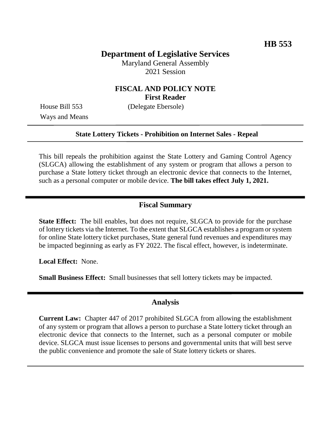# **Department of Legislative Services**

Maryland General Assembly 2021 Session

### **FISCAL AND POLICY NOTE First Reader**

Ways and Means

House Bill 553 (Delegate Ebersole)

#### **State Lottery Tickets - Prohibition on Internet Sales - Repeal**

This bill repeals the prohibition against the State Lottery and Gaming Control Agency (SLGCA) allowing the establishment of any system or program that allows a person to purchase a State lottery ticket through an electronic device that connects to the Internet, such as a personal computer or mobile device. **The bill takes effect July 1, 2021.**

### **Fiscal Summary**

**State Effect:** The bill enables, but does not require, SLGCA to provide for the purchase of lottery tickets via the Internet. To the extent that SLGCA establishes a program or system for online State lottery ticket purchases, State general fund revenues and expenditures may be impacted beginning as early as FY 2022. The fiscal effect, however, is indeterminate.

**Local Effect:** None.

**Small Business Effect:** Small businesses that sell lottery tickets may be impacted.

### **Analysis**

**Current Law:** Chapter 447 of 2017 prohibited SLGCA from allowing the establishment of any system or program that allows a person to purchase a State lottery ticket through an electronic device that connects to the Internet, such as a personal computer or mobile device. SLGCA must issue licenses to persons and governmental units that will best serve the public convenience and promote the sale of State lottery tickets or shares.